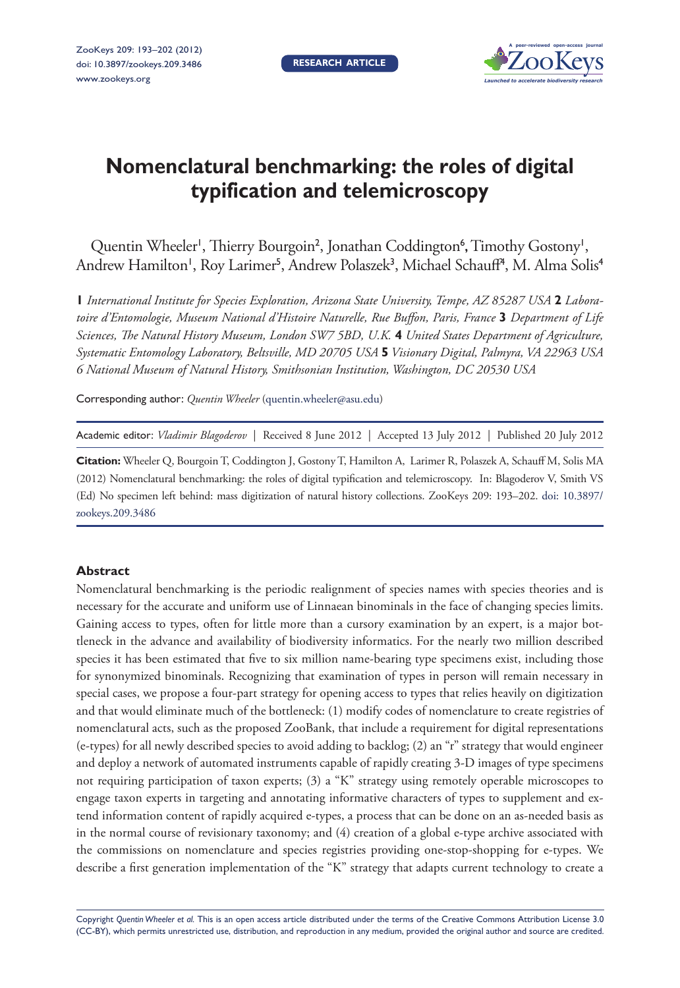

# **Nomenclatural benchmarking: the roles of digital typification and telemicroscopy**

Quentin Wheeler<sup>1</sup>, Thierry Bourgoin<sup>2</sup>, Jonathan Coddington<sup>6</sup>, Timothy Gostony<sup>1</sup>, Andrew Hamilton', Roy Larimer<sup>5</sup>, Andrew Polaszek<sup>3</sup>, Michael Schauff<sup>4</sup>, M. Alma Solis<sup>4</sup>

**1** *International Institute for Species Exploration, Arizona State University, Tempe, AZ 85287 USA* **2** *Laboratoire d'Entomologie, Museum National d'Histoire Naturelle, Rue Buffon, Paris, France* **3** *Department of Life Sciences, The Natural History Museum, London SW7 5BD, U.K.* **4** *United States Department of Agriculture, Systematic Entomology Laboratory, Beltsville, MD 20705 USA* **5** *Visionary Digital, Palmyra, VA 22963 USA 6 National Museum of Natural History, Smithsonian Institution, Washington, DC 20530 USA*

Corresponding author: *Quentin Wheeler* ([quentin.wheeler@asu.edu](mailto:quentin.wheeler@asu.edu))

**Citation:** Wheeler Q, Bourgoin T, Coddington J, Gostony T, Hamilton A, Larimer R, Polaszek A, Schauff M, Solis MA (2012) Nomenclatural benchmarking: the roles of digital typification and telemicroscopy. In: Blagoderov V, Smith VS (Ed) No specimen left behind: mass digitization of natural history collections. ZooKeys 209: 193–202. [doi: 10.3897/](http://dx.doi.org/10.3897/zookeys.209.3486) [zookeys.209.3486](http://dx.doi.org/10.3897/zookeys.209.3486)

#### **Abstract**

Nomenclatural benchmarking is the periodic realignment of species names with species theories and is necessary for the accurate and uniform use of Linnaean binominals in the face of changing species limits. Gaining access to types, often for little more than a cursory examination by an expert, is a major bottleneck in the advance and availability of biodiversity informatics. For the nearly two million described species it has been estimated that five to six million name-bearing type specimens exist, including those for synonymized binominals. Recognizing that examination of types in person will remain necessary in special cases, we propose a four-part strategy for opening access to types that relies heavily on digitization and that would eliminate much of the bottleneck: (1) modify codes of nomenclature to create registries of nomenclatural acts, such as the proposed ZooBank, that include a requirement for digital representations (e-types) for all newly described species to avoid adding to backlog; (2) an "r" strategy that would engineer and deploy a network of automated instruments capable of rapidly creating 3-D images of type specimens not requiring participation of taxon experts; (3) a "K" strategy using remotely operable microscopes to engage taxon experts in targeting and annotating informative characters of types to supplement and extend information content of rapidly acquired e-types, a process that can be done on an as-needed basis as in the normal course of revisionary taxonomy; and (4) creation of a global e-type archive associated with the commissions on nomenclature and species registries providing one-stop-shopping for e-types. We describe a first generation implementation of the "K" strategy that adapts current technology to create a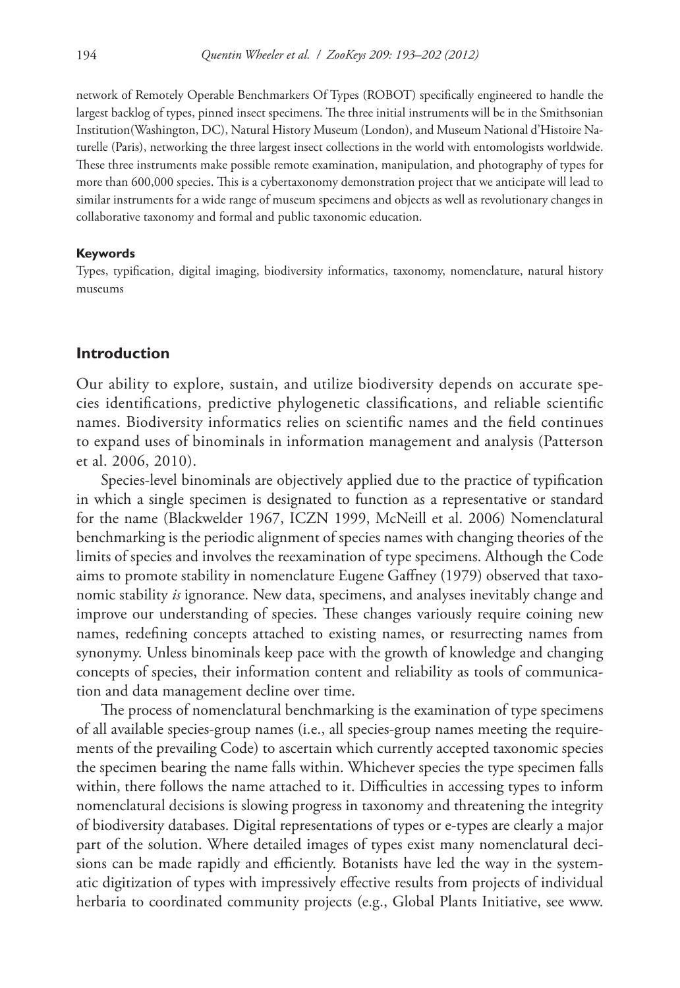network of Remotely Operable Benchmarkers Of Types (ROBOT) specifically engineered to handle the largest backlog of types, pinned insect specimens. The three initial instruments will be in the Smithsonian Institution(Washington, DC), Natural History Museum (London), and Museum National d'Histoire Naturelle (Paris), networking the three largest insect collections in the world with entomologists worldwide. These three instruments make possible remote examination, manipulation, and photography of types for more than 600,000 species. This is a cybertaxonomy demonstration project that we anticipate will lead to similar instruments for a wide range of museum specimens and objects as well as revolutionary changes in collaborative taxonomy and formal and public taxonomic education.

#### **Keywords**

Types, typification, digital imaging, biodiversity informatics, taxonomy, nomenclature, natural history museums

#### **Introduction**

Our ability to explore, sustain, and utilize biodiversity depends on accurate species identifications, predictive phylogenetic classifications, and reliable scientific names. Biodiversity informatics relies on scientific names and the field continues to expand uses of binominals in information management and analysis (Patterson et al. 2006, 2010).

Species-level binominals are objectively applied due to the practice of typification in which a single specimen is designated to function as a representative or standard for the name (Blackwelder 1967, ICZN 1999, McNeill et al. 2006) Nomenclatural benchmarking is the periodic alignment of species names with changing theories of the limits of species and involves the reexamination of type specimens. Although the Code aims to promote stability in nomenclature Eugene Gaffney (1979) observed that taxonomic stability *is* ignorance. New data, specimens, and analyses inevitably change and improve our understanding of species. These changes variously require coining new names, redefining concepts attached to existing names, or resurrecting names from synonymy. Unless binominals keep pace with the growth of knowledge and changing concepts of species, their information content and reliability as tools of communication and data management decline over time.

The process of nomenclatural benchmarking is the examination of type specimens of all available species-group names (i.e., all species-group names meeting the requirements of the prevailing Code) to ascertain which currently accepted taxonomic species the specimen bearing the name falls within. Whichever species the type specimen falls within, there follows the name attached to it. Difficulties in accessing types to inform nomenclatural decisions is slowing progress in taxonomy and threatening the integrity of biodiversity databases. Digital representations of types or e-types are clearly a major part of the solution. Where detailed images of types exist many nomenclatural decisions can be made rapidly and efficiently. Botanists have led the way in the systematic digitization of types with impressively effective results from projects of individual herbaria to coordinated community projects (e.g., Global Plants Initiative, see [www.](www.botanischestaatssammlung.de/projects/GPI.html)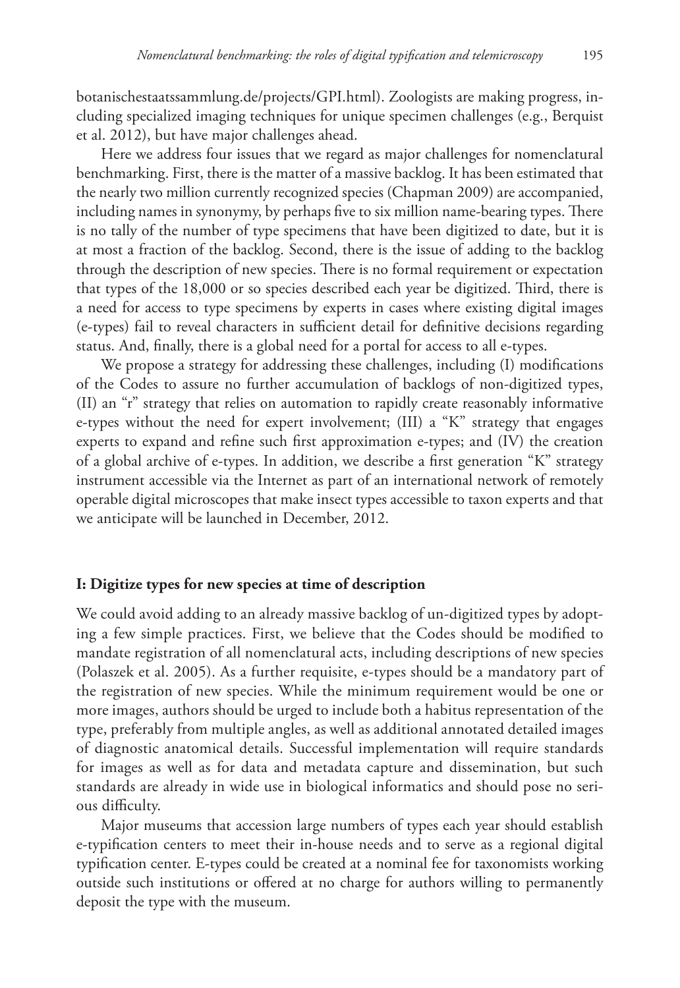[botanischestaatssammlung.de/projects/GPI.html\)](www.botanischestaatssammlung.de/projects/GPI.html). Zoologists are making progress, including specialized imaging techniques for unique specimen challenges (e.g., Berquist et al. 2012), but have major challenges ahead.

Here we address four issues that we regard as major challenges for nomenclatural benchmarking. First, there is the matter of a massive backlog. It has been estimated that the nearly two million currently recognized species (Chapman 2009) are accompanied, including names in synonymy, by perhaps five to six million name-bearing types. There is no tally of the number of type specimens that have been digitized to date, but it is at most a fraction of the backlog. Second, there is the issue of adding to the backlog through the description of new species. There is no formal requirement or expectation that types of the 18,000 or so species described each year be digitized. Third, there is a need for access to type specimens by experts in cases where existing digital images (e-types) fail to reveal characters in sufficient detail for definitive decisions regarding status. And, finally, there is a global need for a portal for access to all e-types.

We propose a strategy for addressing these challenges, including (I) modifications of the Codes to assure no further accumulation of backlogs of non-digitized types, (II) an "r" strategy that relies on automation to rapidly create reasonably informative e-types without the need for expert involvement; (III) a "K" strategy that engages experts to expand and refine such first approximation e-types; and (IV) the creation of a global archive of e-types. In addition, we describe a first generation "K" strategy instrument accessible via the Internet as part of an international network of remotely operable digital microscopes that make insect types accessible to taxon experts and that we anticipate will be launched in December, 2012.

#### **I: Digitize types for new species at time of description**

We could avoid adding to an already massive backlog of un-digitized types by adopting a few simple practices. First, we believe that the Codes should be modified to mandate registration of all nomenclatural acts, including descriptions of new species (Polaszek et al. 2005). As a further requisite, e-types should be a mandatory part of the registration of new species. While the minimum requirement would be one or more images, authors should be urged to include both a habitus representation of the type, preferably from multiple angles, as well as additional annotated detailed images of diagnostic anatomical details. Successful implementation will require standards for images as well as for data and metadata capture and dissemination, but such standards are already in wide use in biological informatics and should pose no serious difficulty.

Major museums that accession large numbers of types each year should establish e-typification centers to meet their in-house needs and to serve as a regional digital typification center. E-types could be created at a nominal fee for taxonomists working outside such institutions or offered at no charge for authors willing to permanently deposit the type with the museum.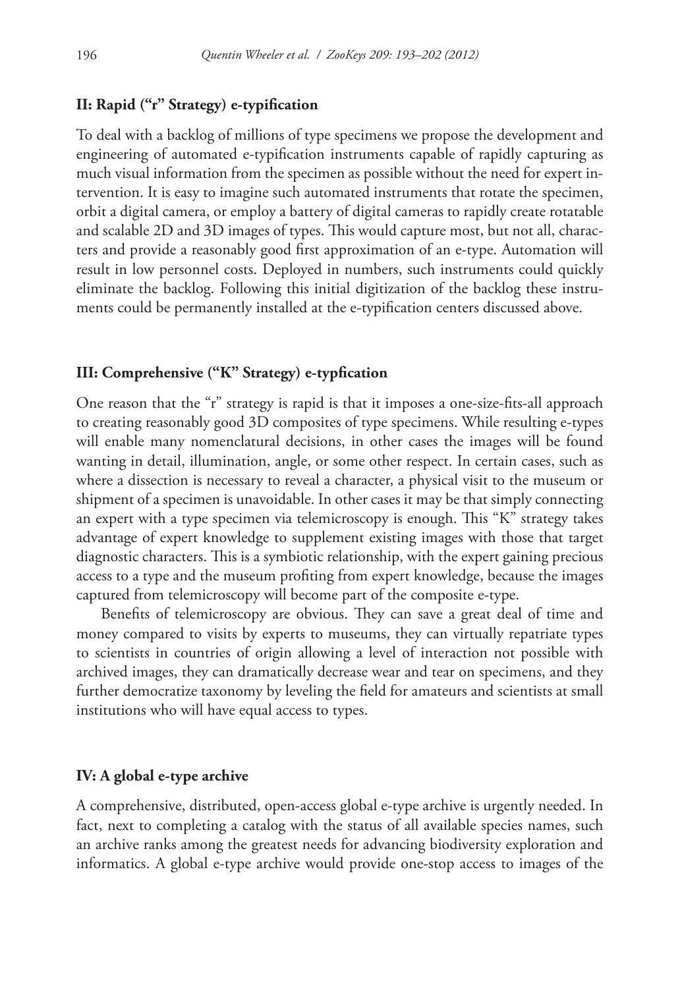#### **II: Rapid ("r" Strategy) e-typification**

To deal with a backlog of millions of type specimens we propose the development and engineering of automated e-typification instruments capable of rapidly capturing as much visual information from the specimen as possible without the need for expert intervention. It is easy to imagine such automated instruments that rotate the specimen, orbit a digital camera, or employ a battery of digital cameras to rapidly create rotatable and scalable 2D and 3D images of types. This would capture most, but not all, characters and provide a reasonably good first approximation of an e-type. Automation will result in low personnel costs. Deployed in numbers, such instruments could quickly eliminate the backlog. Following this initial digitization of the backlog these instruments could be permanently installed at the e-typification centers discussed above.

#### **III: Comprehensive ("K" Strategy) e-typfication**

One reason that the "r" strategy is rapid is that it imposes a one-size-fits-all approach to creating reasonably good 3D composites of type specimens. While resulting e-types will enable many nomenclatural decisions, in other cases the images will be found wanting in detail, illumination, angle, or some other respect. In certain cases, such as where a dissection is necessary to reveal a character, a physical visit to the museum or shipment of a specimen is unavoidable. In other cases it may be that simply connecting an expert with a type specimen via telemicroscopy is enough. This "K" strategy takes advantage of expert knowledge to supplement existing images with those that target diagnostic characters. This is a symbiotic relationship, with the expert gaining precious access to a type and the museum profiting from expert knowledge, because the images captured from telemicroscopy will become part of the composite e-type.

Benefits of telemicroscopy are obvious. They can save a great deal of time and money compared to visits by experts to museums, they can virtually repatriate types to scientists in countries of origin allowing a level of interaction not possible with archived images, they can dramatically decrease wear and tear on specimens, and they further democratize taxonomy by leveling the field for amateurs and scientists at small institutions who will have equal access to types.

#### **IV: A global e-type archive**

A comprehensive, distributed, open-access global e-type archive is urgently needed. In fact, next to completing a catalog with the status of all available species names, such an archive ranks among the greatest needs for advancing biodiversity exploration and informatics. A global e-type archive would provide one-stop access to images of the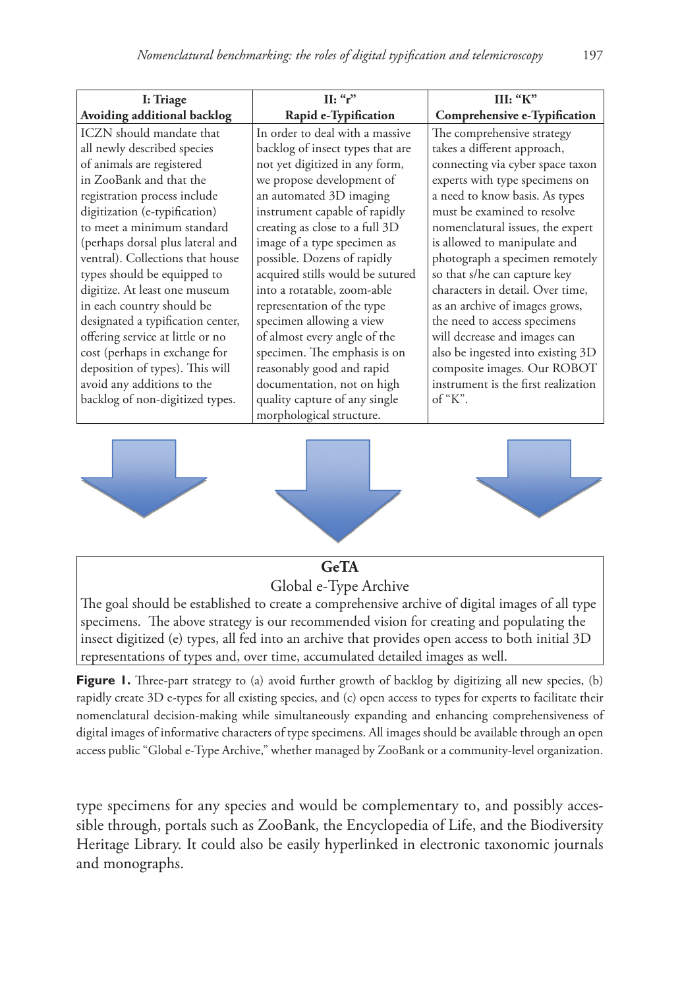

#### **GeTA**

#### Global e-Type Archive

The goal should be established to create a comprehensive archive of digital images of all type specimens. The above strategy is our recommended vision for creating and populating the insect digitized (e) types, all fed into an archive that provides open access to both initial 3D representations of types and, over time, accumulated detailed images as well.

**Figure 1.** Three-part strategy to (a) avoid further growth of backlog by digitizing all new species, (b) rapidly create 3D e-types for all existing species, and (c) open access to types for experts to facilitate their nomenclatural decision-making while simultaneously expanding and enhancing comprehensiveness of digital images of informative characters of type specimens. All images should be available through an open access public "Global e-Type Archive," whether managed by ZooBank or a community-level organization.

type specimens for any species and would be complementary to, and possibly accessible through, portals such as ZooBank, the Encyclopedia of Life, and the Biodiversity Heritage Library. It could also be easily hyperlinked in electronic taxonomic journals and monographs.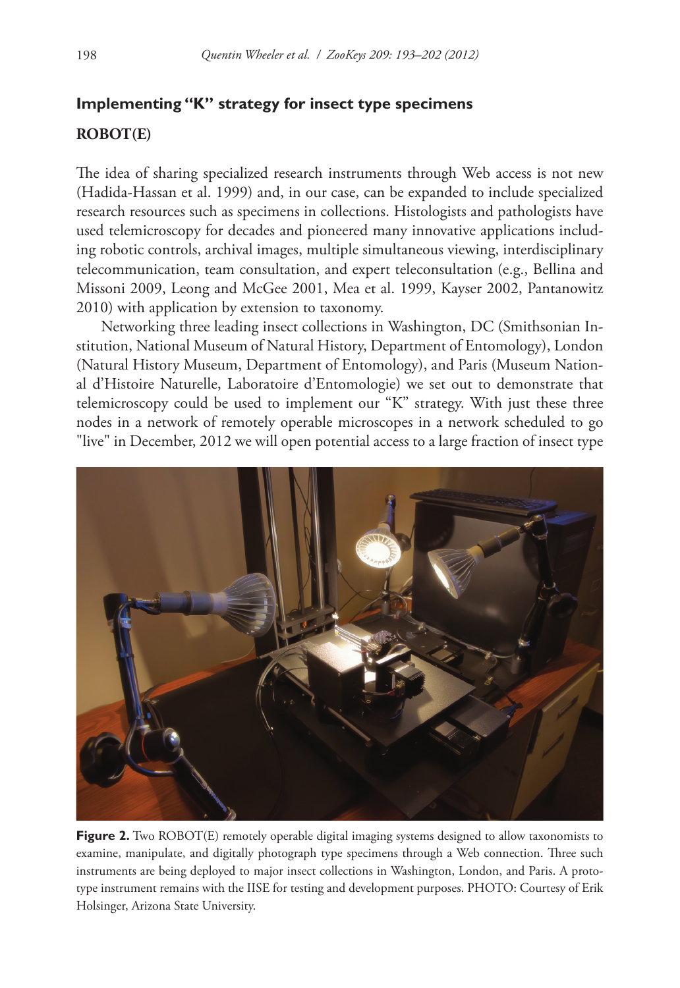# **Implementing "K" strategy for insect type specimens**

### **ROBOT(E)**

The idea of sharing specialized research instruments through Web access is not new (Hadida-Hassan et al. 1999) and, in our case, can be expanded to include specialized research resources such as specimens in collections. Histologists and pathologists have used telemicroscopy for decades and pioneered many innovative applications including robotic controls, archival images, multiple simultaneous viewing, interdisciplinary telecommunication, team consultation, and expert teleconsultation (e.g., Bellina and Missoni 2009, Leong and McGee 2001, Mea et al. 1999, Kayser 2002, Pantanowitz 2010) with application by extension to taxonomy.

Networking three leading insect collections in Washington, DC (Smithsonian Institution, National Museum of Natural History, Department of Entomology), London (Natural History Museum, Department of Entomology), and Paris (Museum National d'Histoire Naturelle, Laboratoire d'Entomologie) we set out to demonstrate that telemicroscopy could be used to implement our "K" strategy. With just these three nodes in a network of remotely operable microscopes in a network scheduled to go "live" in December, 2012 we will open potential access to a large fraction of insect type



**Figure 2.** Two ROBOT(E) remotely operable digital imaging systems designed to allow taxonomists to examine, manipulate, and digitally photograph type specimens through a Web connection. Three such instruments are being deployed to major insect collections in Washington, London, and Paris. A prototype instrument remains with the IISE for testing and development purposes. PHOTO: Courtesy of Erik Holsinger, Arizona State University.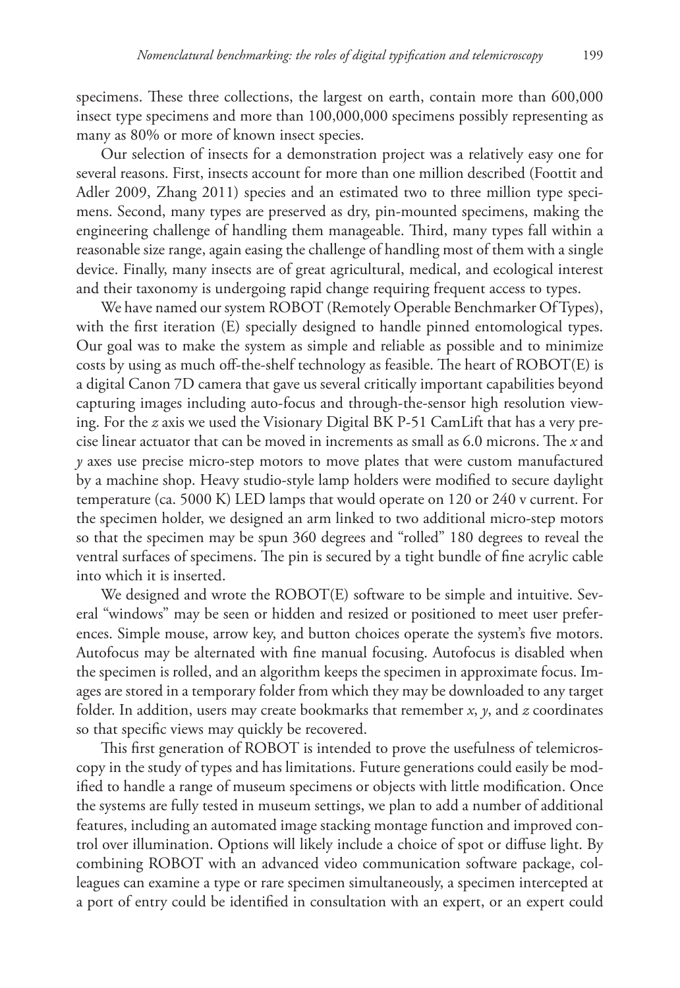specimens. These three collections, the largest on earth, contain more than 600,000 insect type specimens and more than 100,000,000 specimens possibly representing as many as 80% or more of known insect species.

Our selection of insects for a demonstration project was a relatively easy one for several reasons. First, insects account for more than one million described (Foottit and Adler 2009, Zhang 2011) species and an estimated two to three million type specimens. Second, many types are preserved as dry, pin-mounted specimens, making the engineering challenge of handling them manageable. Third, many types fall within a reasonable size range, again easing the challenge of handling most of them with a single device. Finally, many insects are of great agricultural, medical, and ecological interest and their taxonomy is undergoing rapid change requiring frequent access to types.

We have named our system ROBOT (Remotely Operable Benchmarker Of Types), with the first iteration (E) specially designed to handle pinned entomological types. Our goal was to make the system as simple and reliable as possible and to minimize costs by using as much off-the-shelf technology as feasible. The heart of ROBOT(E) is a digital Canon 7D camera that gave us several critically important capabilities beyond capturing images including auto-focus and through-the-sensor high resolution viewing. For the *z* axis we used the Visionary Digital BK P-51 CamLift that has a very precise linear actuator that can be moved in increments as small as 6.0 microns. The *x* and *y* axes use precise micro-step motors to move plates that were custom manufactured by a machine shop. Heavy studio-style lamp holders were modified to secure daylight temperature (ca. 5000 K) LED lamps that would operate on 120 or 240 v current. For the specimen holder, we designed an arm linked to two additional micro-step motors so that the specimen may be spun 360 degrees and "rolled" 180 degrees to reveal the ventral surfaces of specimens. The pin is secured by a tight bundle of fine acrylic cable into which it is inserted.

We designed and wrote the ROBOT(E) software to be simple and intuitive. Several "windows" may be seen or hidden and resized or positioned to meet user preferences. Simple mouse, arrow key, and button choices operate the system's five motors. Autofocus may be alternated with fine manual focusing. Autofocus is disabled when the specimen is rolled, and an algorithm keeps the specimen in approximate focus. Images are stored in a temporary folder from which they may be downloaded to any target folder. In addition, users may create bookmarks that remember *x*, *y*, and *z* coordinates so that specific views may quickly be recovered.

This first generation of ROBOT is intended to prove the usefulness of telemicroscopy in the study of types and has limitations. Future generations could easily be modified to handle a range of museum specimens or objects with little modification. Once the systems are fully tested in museum settings, we plan to add a number of additional features, including an automated image stacking montage function and improved control over illumination. Options will likely include a choice of spot or diffuse light. By combining ROBOT with an advanced video communication software package, colleagues can examine a type or rare specimen simultaneously, a specimen intercepted at a port of entry could be identified in consultation with an expert, or an expert could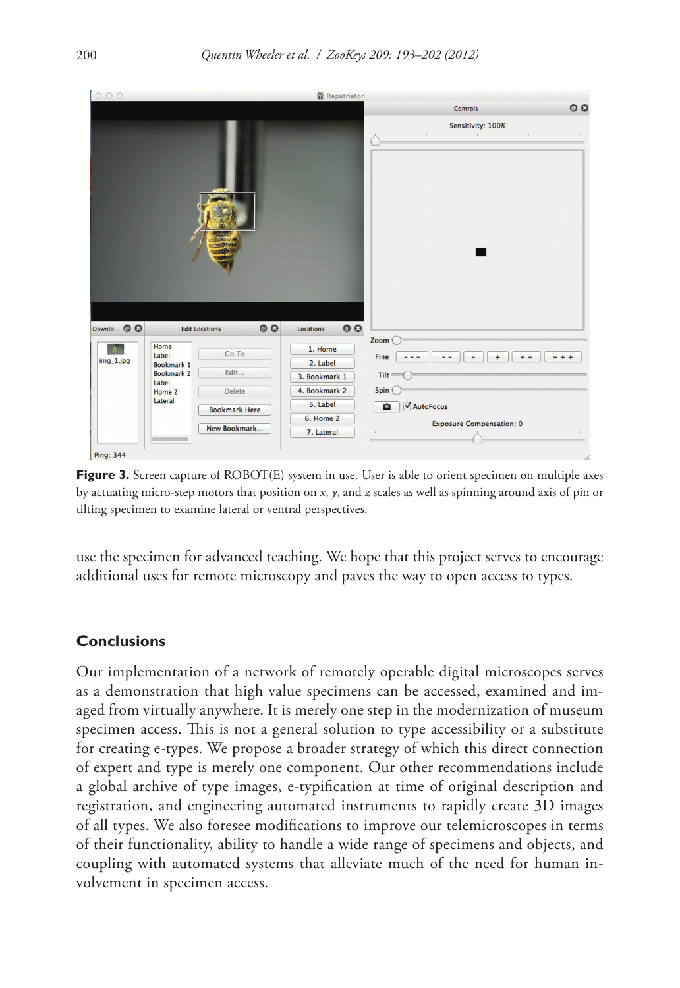

**Figure 3.** Screen capture of ROBOT(E) system in use. User is able to orient specimen on multiple axes by actuating micro-step motors that position on *x*, *y*, and *z* scales as well as spinning around axis of pin or tilting specimen to examine lateral or ventral perspectives.

use the specimen for advanced teaching. We hope that this project serves to encourage additional uses for remote microscopy and paves the way to open access to types.

## **Conclusions**

Our implementation of a network of remotely operable digital microscopes serves as a demonstration that high value specimens can be accessed, examined and imaged from virtually anywhere. It is merely one step in the modernization of museum specimen access. This is not a general solution to type accessibility or a substitute for creating e-types. We propose a broader strategy of which this direct connection of expert and type is merely one component. Our other recommendations include a global archive of type images, e-typification at time of original description and registration, and engineering automated instruments to rapidly create 3D images of all types. We also foresee modifications to improve our telemicroscopes in terms of their functionality, ability to handle a wide range of specimens and objects, and coupling with automated systems that alleviate much of the need for human involvement in specimen access.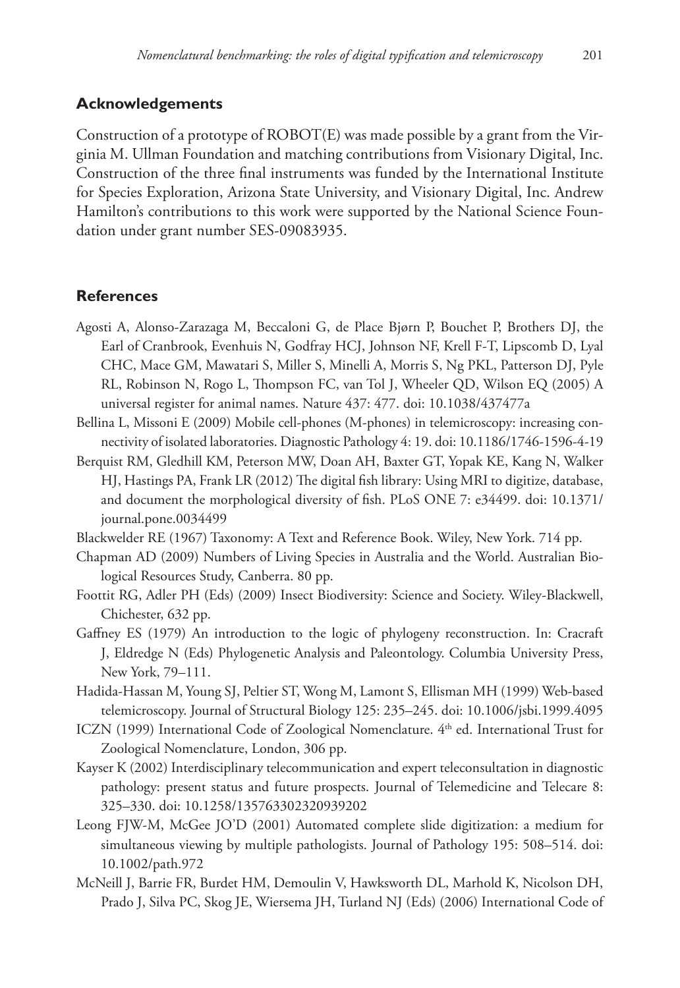#### **Acknowledgements**

Construction of a prototype of ROBOT(E) was made possible by a grant from the Virginia M. Ullman Foundation and matching contributions from Visionary Digital, Inc. Construction of the three final instruments was funded by the International Institute for Species Exploration, Arizona State University, and Visionary Digital, Inc. Andrew Hamilton's contributions to this work were supported by the National Science Foundation under grant number SES-09083935.

#### **References**

- Agosti A, Alonso-Zarazaga M, Beccaloni G, de Place Bjørn P, Bouchet P, Brothers DJ, the Earl of Cranbrook, Evenhuis N, Godfray HCJ, Johnson NF, Krell F-T, Lipscomb D, Lyal CHC, Mace GM, Mawatari S, Miller S, Minelli A, Morris S, Ng PKL, Patterson DJ, Pyle RL, Robinson N, Rogo L, Thompson FC, van Tol J, Wheeler QD, Wilson EQ (2005) A universal register for animal names. Nature 437: 477. [doi: 10.1038/437477a](http://dx.doi.org/10.1038/437477a)
- Bellina L, Missoni E (2009) Mobile cell-phones (M-phones) in telemicroscopy: increasing connectivity of isolated laboratories. Diagnostic Pathology 4: 19. [doi: 10.1186/1746-1596-4-19](http://dx.doi.org/10.1186/1746-1596-4-19)
- Berquist RM, Gledhill KM, Peterson MW, Doan AH, Baxter GT, Yopak KE, Kang N, Walker HJ, Hastings PA, Frank LR (2012) The digital fish library: Using MRI to digitize, database, and document the morphological diversity of fish. PLoS ONE 7: e34499. [doi: 10.1371/](http://dx.doi.org/10.1371/journal.pone.0034499) [journal.pone.0034499](http://dx.doi.org/10.1371/journal.pone.0034499)
- Blackwelder RE (1967) Taxonomy: A Text and Reference Book. Wiley, New York. 714 pp.
- Chapman AD (2009) Numbers of Living Species in Australia and the World. Australian Biological Resources Study, Canberra. 80 pp.
- Foottit RG, Adler PH (Eds) (2009) Insect Biodiversity: Science and Society. Wiley-Blackwell, Chichester, 632 pp.
- Gaffney ES (1979) An introduction to the logic of phylogeny reconstruction. In: Cracraft J, Eldredge N (Eds) Phylogenetic Analysis and Paleontology. Columbia University Press, New York, 79–111.
- Hadida-Hassan M, Young SJ, Peltier ST, Wong M, Lamont S, Ellisman MH (1999) Web-based telemicroscopy. Journal of Structural Biology 125: 235–245. [doi: 10.1006/jsbi.1999.4095](http://dx.doi.org/10.1006/jsbi.1999.4095)
- ICZN (1999) International Code of Zoological Nomenclature. 4<sup>th</sup> ed. International Trust for Zoological Nomenclature, London, 306 pp.
- Kayser K (2002) Interdisciplinary telecommunication and expert teleconsultation in diagnostic pathology: present status and future prospects. Journal of Telemedicine and Telecare 8: 325–330. [doi: 10.1258/135763302320939202](http://dx.doi.org/10.1258/135763302320939202)
- Leong FJW-M, McGee JO'D (2001) Automated complete slide digitization: a medium for simultaneous viewing by multiple pathologists. Journal of Pathology 195: 508–514. [doi:](http://dx.doi.org/10.1002/path.972) [10.1002/path.972](http://dx.doi.org/10.1002/path.972)
- McNeill J, Barrie FR, Burdet HM, Demoulin V, Hawksworth DL, Marhold K, Nicolson DH, Prado J, Silva PC, Skog JE, Wiersema JH, Turland NJ (Eds) (2006) International Code of